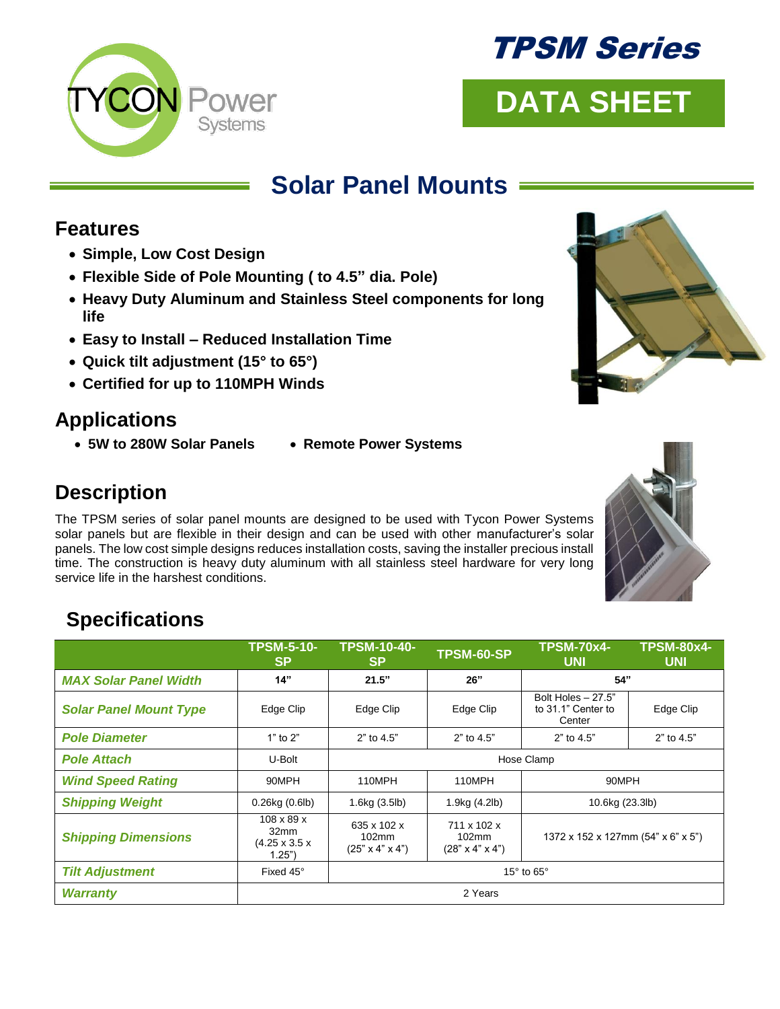



# **DATA SHEET**

# **Solar Panel Mounts**

#### **Features**

- **Simple, Low Cost Design**
- **Flexible Side of Pole Mounting ( to 4.5" dia. Pole)**
- **Heavy Duty Aluminum and Stainless Steel components for long life**
- **Easy to Install – Reduced Installation Time**
- **Quick tilt adjustment (15° to 65°)**
- **Certified for up to 110MPH Winds**

## **Applications**

- **5W to 280W Solar Panels Remote Power Systems**
- 

## **Description**

The TPSM series of solar panel mounts are designed to be used with Tycon Power Systems solar panels but are flexible in their design and can be used with other manufacturer's solar panels. The low cost simple designs reduces installation costs, saving the installer precious install time. The construction is heavy duty aluminum with all stainless steel hardware for very long service life in the harshest conditions.

## **Specifications**

|                               | <b>TPSM-5-10-</b><br><b>SP</b>                                        | <b>TPSM-10-40-</b><br><b>SP</b>                     | TPSM-60-SP                                                    | <b>TPSM-70x4-</b><br><b>UNI</b>                     | <b>TPSM-80x4-</b><br><b>UNI</b> |
|-------------------------------|-----------------------------------------------------------------------|-----------------------------------------------------|---------------------------------------------------------------|-----------------------------------------------------|---------------------------------|
| <b>MAX Solar Panel Width</b>  | 14"                                                                   | 21.5"                                               | 26"                                                           | 54"                                                 |                                 |
| <b>Solar Panel Mount Type</b> | Edge Clip                                                             | Edge Clip                                           | Edge Clip                                                     | Bolt Holes $-27.5"$<br>to 31.1" Center to<br>Center | Edge Clip                       |
| <b>Pole Diameter</b>          | $1"$ to $2"$                                                          | 2" to 4.5"                                          | 2" to 4.5"                                                    | 2" to 4.5"                                          | 2" to 4.5"                      |
| <b>Pole Attach</b>            | U-Bolt                                                                | Hose Clamp                                          |                                                               |                                                     |                                 |
| <b>Wind Speed Rating</b>      | 90MPH                                                                 | 110MPH                                              | 110MPH                                                        | 90MPH                                               |                                 |
| <b>Shipping Weight</b>        | $0.26$ kg $(0.6$ lb)                                                  | 1.6kg (3.5lb)                                       | 1.9kg (4.2lb)                                                 | 10.6kg (23.3lb)                                     |                                 |
| <b>Shipping Dimensions</b>    | $108 \times 89 \times$<br>32mm<br>$(4.25 \times 3.5 \times$<br>1.25") | 635 x 102 x<br>102mm<br>$(25" \times 4" \times 4")$ | 711 x 102 x<br>$102 \text{mm}$<br>$(28" \times 4" \times 4")$ | 1372 x 152 x 127mm (54" x 6" x 5")                  |                                 |
| <b>Tilt Adjustment</b>        | Fixed 45°                                                             | 15 $\degree$ to 65 $\degree$                        |                                                               |                                                     |                                 |
| <b>Warranty</b>               | 2 Years                                                               |                                                     |                                                               |                                                     |                                 |